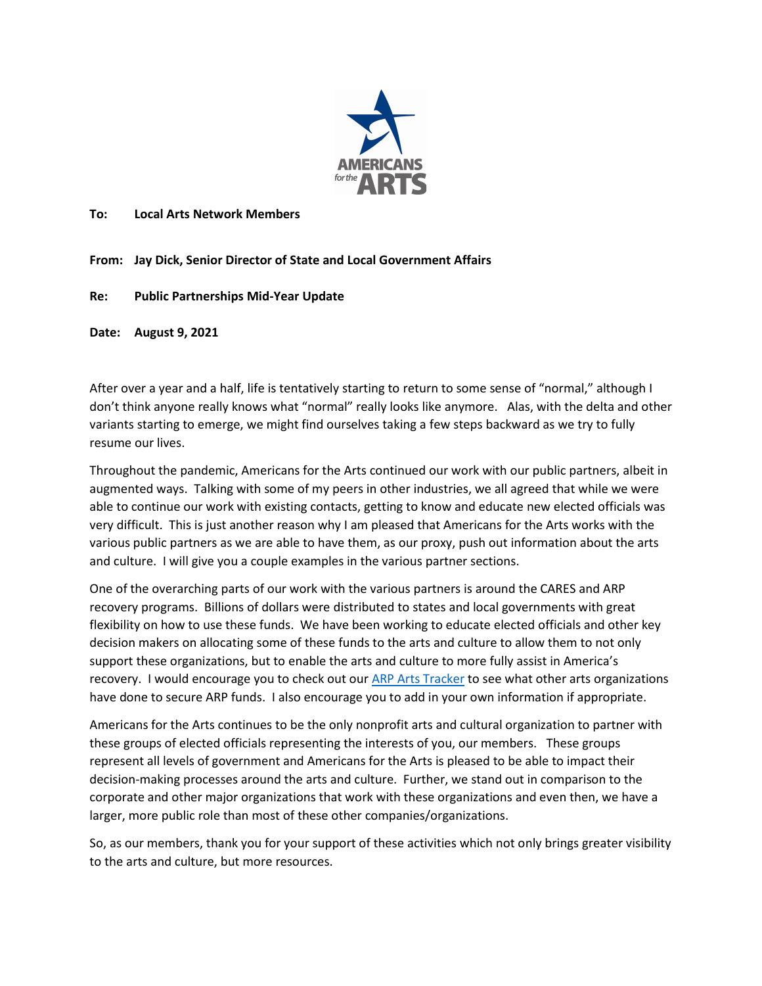

#### **To: Local Arts Network Members**

**From: Jay Dick, Senior Director of State and Local Government Affairs**

#### **Re: Public Partnerships Mid-Year Update**

**Date: August 9, 2021**

After over a year and a half, life is tentatively starting to return to some sense of "normal," although I don't think anyone really knows what "normal" really looks like anymore. Alas, with the delta and other variants starting to emerge, we might find ourselves taking a few steps backward as we try to fully resume our lives.

Throughout the pandemic, Americans for the Arts continued our work with our public partners, albeit in augmented ways. Talking with some of my peers in other industries, we all agreed that while we were able to continue our work with existing contacts, getting to know and educate new elected officials was very difficult. This is just another reason why I am pleased that Americans for the Arts works with the various public partners as we are able to have them, as our proxy, push out information about the arts and culture. I will give you a couple examples in the various partner sections.

One of the overarching parts of our work with the various partners is around the CARES and ARP recovery programs. Billions of dollars were distributed to states and local governments with great flexibility on how to use these funds. We have been working to educate elected officials and other key decision makers on allocating some of these funds to the arts and culture to allow them to not only support these organizations, but to enable the arts and culture to more fully assist in America's recovery. I would encourage you to check out ou[r ARP Arts Tracker](https://docs.google.com/forms/d/e/1FAIpQLSdbgJ0H5d8ONbrv55GbaL2A8J3HCjpNxmUxV41omPlD6hSGvQ/viewform) to see what other arts organizations have done to secure ARP funds. I also encourage you to add in your own information if appropriate.

Americans for the Arts continues to be the only nonprofit arts and cultural organization to partner with these groups of elected officials representing the interests of you, our members. These groups represent all levels of government and Americans for the Arts is pleased to be able to impact their decision-making processes around the arts and culture. Further, we stand out in comparison to the corporate and other major organizations that work with these organizations and even then, we have a larger, more public role than most of these other companies/organizations.

So, as our members, thank you for your support of these activities which not only brings greater visibility to the arts and culture, but more resources.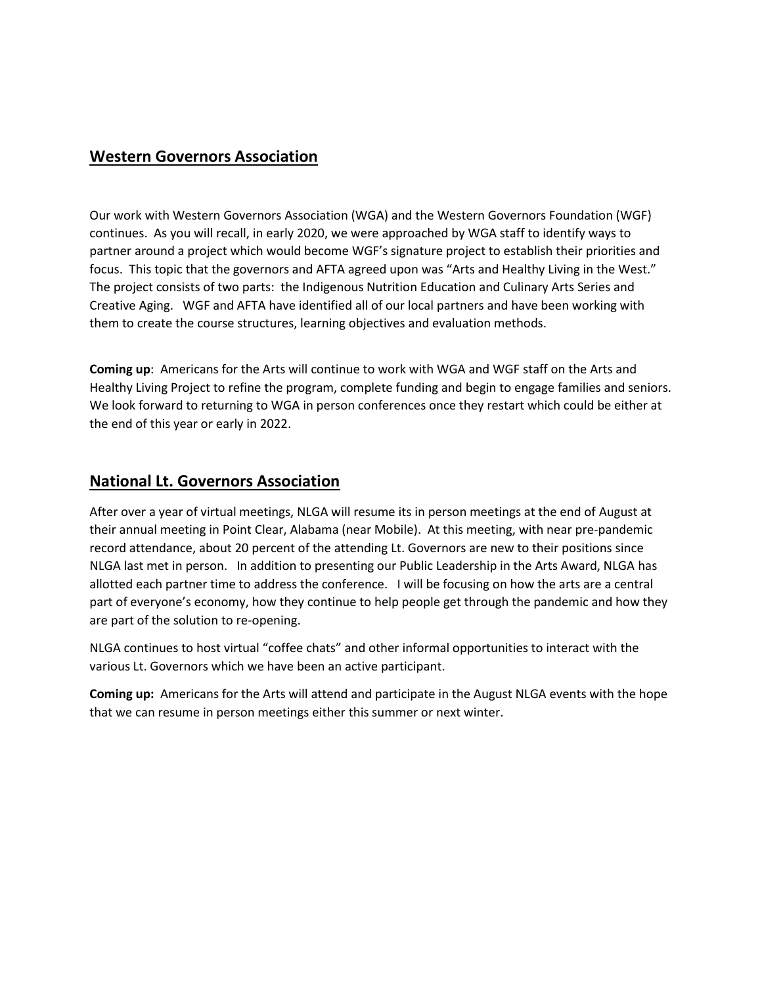### **Western Governors Association**

Our work with Western Governors Association (WGA) and the Western Governors Foundation (WGF) continues. As you will recall, in early 2020, we were approached by WGA staff to identify ways to partner around a project which would become WGF's signature project to establish their priorities and focus. This topic that the governors and AFTA agreed upon was "Arts and Healthy Living in the West." The project consists of two parts: the Indigenous Nutrition Education and Culinary Arts Series and Creative Aging. WGF and AFTA have identified all of our local partners and have been working with them to create the course structures, learning objectives and evaluation methods.

**Coming up**: Americans for the Arts will continue to work with WGA and WGF staff on the Arts and Healthy Living Project to refine the program, complete funding and begin to engage families and seniors. We look forward to returning to WGA in person conferences once they restart which could be either at the end of this year or early in 2022.

#### **National Lt. Governors Association**

After over a year of virtual meetings, NLGA will resume its in person meetings at the end of August at their annual meeting in Point Clear, Alabama (near Mobile). At this meeting, with near pre-pandemic record attendance, about 20 percent of the attending Lt. Governors are new to their positions since NLGA last met in person. In addition to presenting our Public Leadership in the Arts Award, NLGA has allotted each partner time to address the conference. I will be focusing on how the arts are a central part of everyone's economy, how they continue to help people get through the pandemic and how they are part of the solution to re-opening.

NLGA continues to host virtual "coffee chats" and other informal opportunities to interact with the various Lt. Governors which we have been an active participant.

**Coming up:** Americans for the Arts will attend and participate in the August NLGA events with the hope that we can resume in person meetings either this summer or next winter.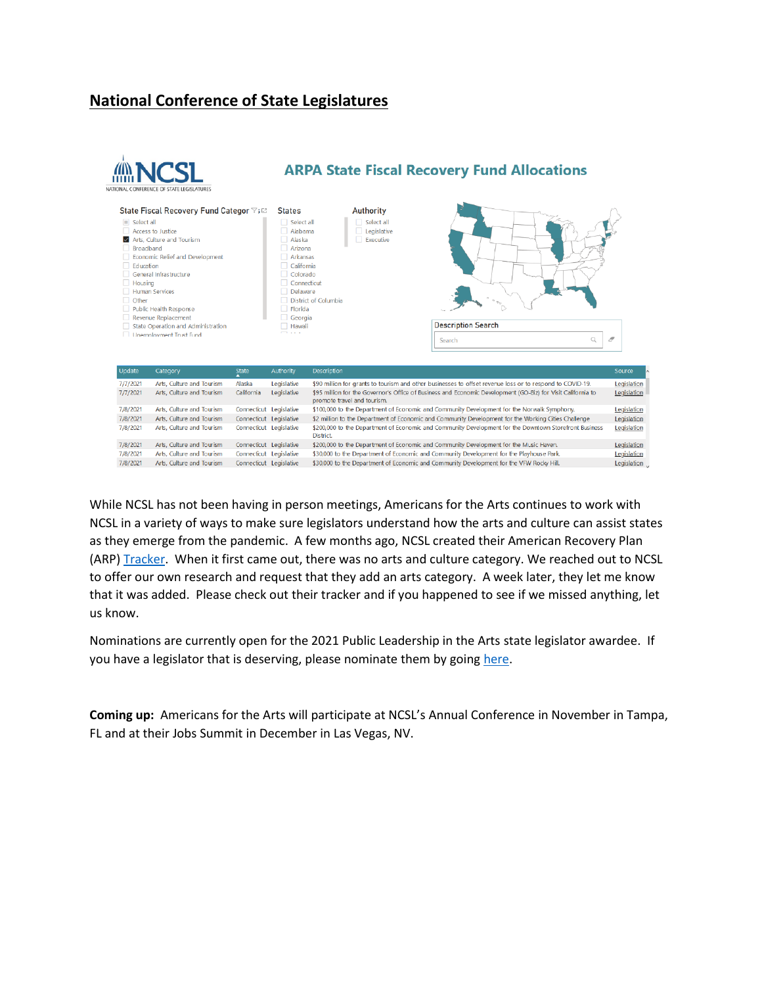# **National Conference of State Legislatures**



While NCSL has not been having in person meetings, Americans for the Arts continues to work with NCSL in a variety of ways to make sure legislators understand how the arts and culture can assist states as they emerge from the pandemic. A few months ago, NCSL created their American Recovery Plan (ARP) [Tracker.](https://www.ncsl.org/research/fiscal-policy/arpa-state-fiscal-recovery-fund-allocations.aspx) When it first came out, there was no arts and culture category. We reached out to NCSL to offer our own research and request that they add an arts category. A week later, they let me know that it was added. Please check out their tracker and if you happened to see if we missed anything, let us know.

Nominations are currently open for the 2021 Public Leadership in the Arts state legislator awardee. If you have a legislator that is deserving, please nominate them by goin[g here.](https://www.americansforthearts.org/by-program/promotion-and-recognition/awards-for-arts-achievement/annual-awards/public-leadership-in-the-arts/public-leadership-in-the-arts-awards-nomination)

**Coming up:** Americans for the Arts will participate at NCSL's Annual Conference in November in Tampa, FL and at their Jobs Summit in December in Las Vegas, NV.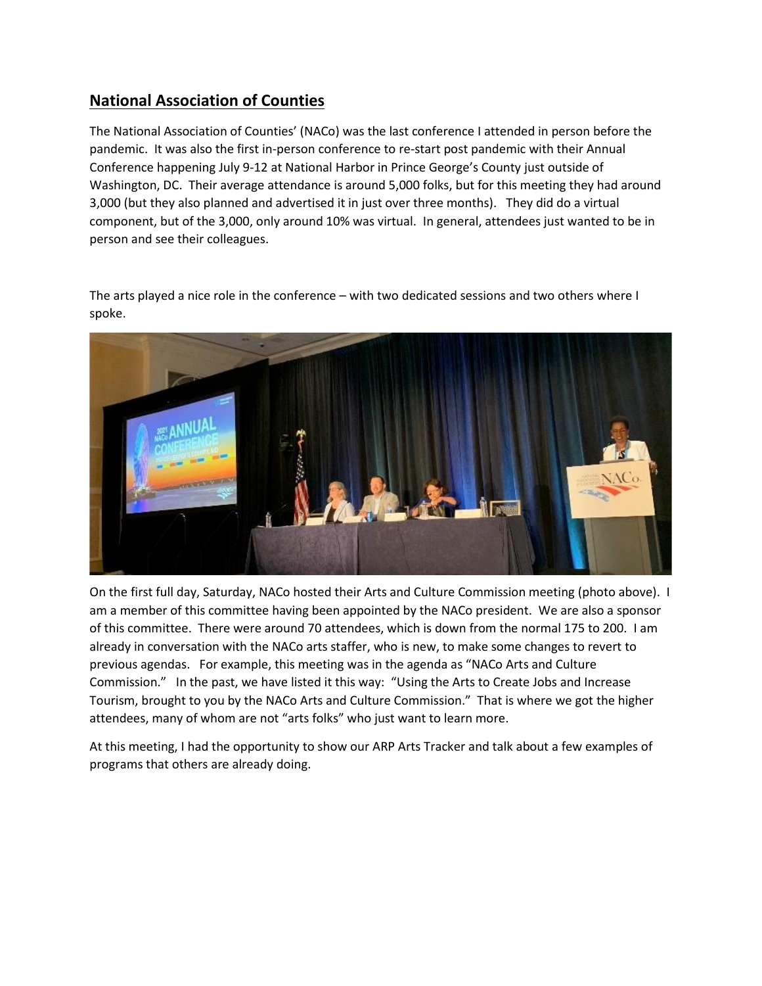## **National Association of Counties**

The National Association of Counties' (NACo) was the last conference I attended in person before the pandemic. It was also the first in-person conference to re-start post pandemic with their Annual Conference happening July 9-12 at National Harbor in Prince George's County just outside of Washington, DC. Their average attendance is around 5,000 folks, but for this meeting they had around 3,000 (but they also planned and advertised it in just over three months). They did do a virtual component, but of the 3,000, only around 10% was virtual. In general, attendees just wanted to be in person and see their colleagues.

The arts played a nice role in the conference – with two dedicated sessions and two others where I spoke.



On the first full day, Saturday, NACo hosted their Arts and Culture Commission meeting (photo above). I am a member of this committee having been appointed by the NACo president. We are also a sponsor of this committee. There were around 70 attendees, which is down from the normal 175 to 200. I am already in conversation with the NACo arts staffer, who is new, to make some changes to revert to previous agendas. For example, this meeting was in the agenda as "NACo Arts and Culture Commission." In the past, we have listed it this way: "Using the Arts to Create Jobs and Increase Tourism, brought to you by the NACo Arts and Culture Commission." That is where we got the higher attendees, many of whom are not "arts folks" who just want to learn more.

At this meeting, I had the opportunity to show our ARP Arts Tracker and talk about a few examples of programs that others are already doing.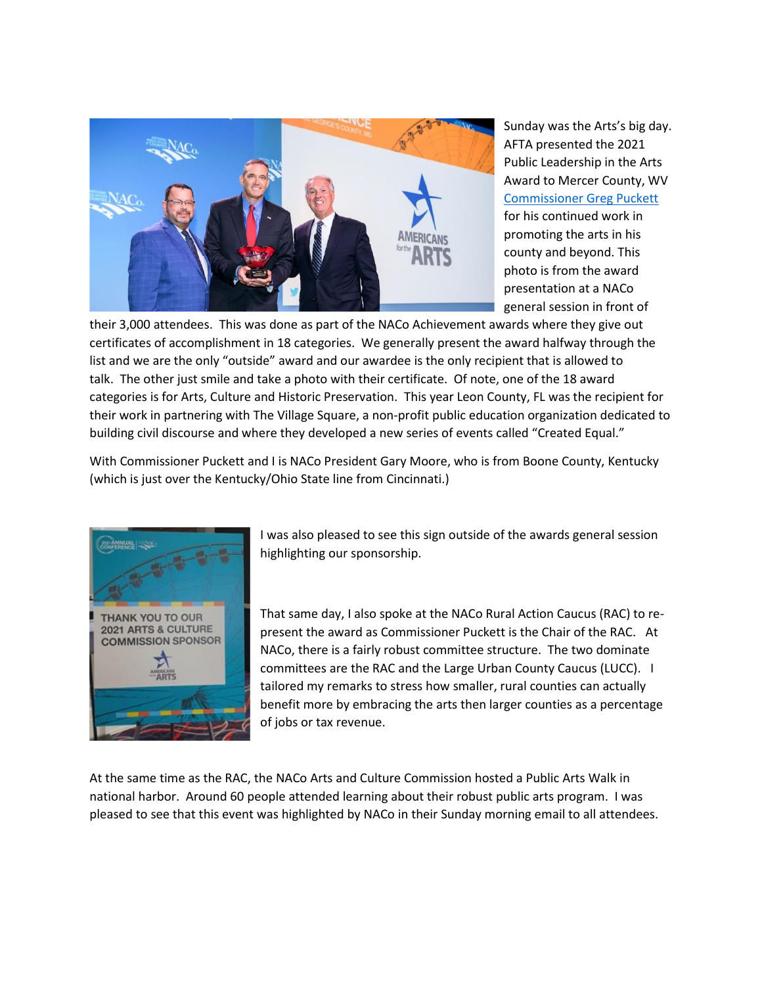

Sunday was the Arts's big day. AFTA presented the 2021 Public Leadership in the Arts Award to Mercer County, WV [Commissioner Greg Puckett](https://www.americansforthearts.org/by-program/promotion-and-recognition/strategic-partners/governmental-partners-public-sector/commissioner-greg-puckett-r-mercer-county-wv) for his continued work in promoting the arts in his county and beyond. This photo is from the award presentation at a NACo general session in front of

their 3,000 attendees. This was done as part of the NACo Achievement awards where they give out certificates of accomplishment in 18 categories. We generally present the award halfway through the list and we are the only "outside" award and our awardee is the only recipient that is allowed to talk. The other just smile and take a photo with their certificate. Of note, one of the 18 award categories is for Arts, Culture and Historic Preservation. This year Leon County, FL was the recipient for their work in partnering with The Village Square, a non-profit public education organization dedicated to building civil discourse and where they developed a new series of events called "Created Equal."

With Commissioner Puckett and I is NACo President Gary Moore, who is from Boone County, Kentucky (which is just over the Kentucky/Ohio State line from Cincinnati.)



I was also pleased to see this sign outside of the awards general session highlighting our sponsorship.

That same day, I also spoke at the NACo Rural Action Caucus (RAC) to represent the award as Commissioner Puckett is the Chair of the RAC. At NACo, there is a fairly robust committee structure. The two dominate committees are the RAC and the Large Urban County Caucus (LUCC). I tailored my remarks to stress how smaller, rural counties can actually benefit more by embracing the arts then larger counties as a percentage of jobs or tax revenue.

At the same time as the RAC, the NACo Arts and Culture Commission hosted a Public Arts Walk in national harbor. Around 60 people attended learning about their robust public arts program. I was pleased to see that this event was highlighted by NACo in their Sunday morning email to all attendees.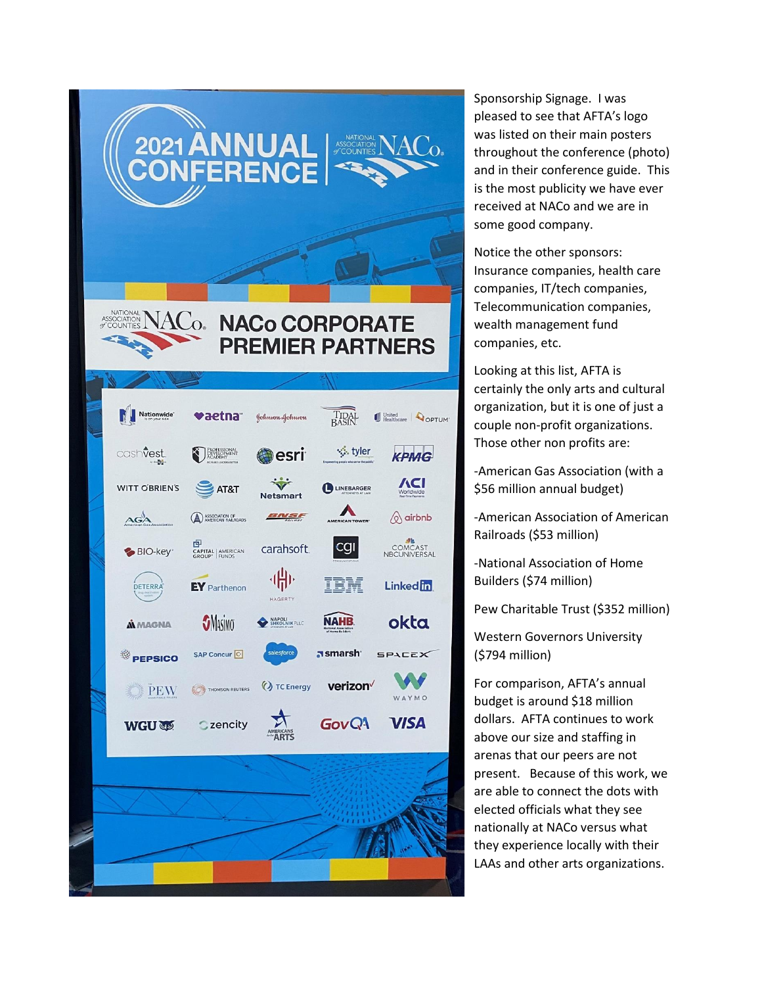

Sponsorship Signage. I was pleased to see that AFTA's logo was listed on their main posters throughout the conference (photo) and in their conference guide. This is the most publicity we have ever received at NACo and we are in some good company.

Notice the other sponsors: Insurance companies, health care companies, IT/tech companies, Telecommunication companies, wealth management fund companies, etc.

Looking at this list, AFTA is certainly the only arts and cultural organization, but it is one of just a couple non-profit organizations. Those other non profits are:

-American Gas Association (with a \$56 million annual budget)

-American Association of American Railroads (\$53 million)

-National Association of Home Builders (\$74 million)

Pew Charitable Trust (\$352 million)

Western Governors University (\$794 million)

For comparison, AFTA's annual budget is around \$18 million dollars. AFTA continues to work above our size and staffing in arenas that our peers are not present. Because of this work, we are able to connect the dots with elected officials what they see nationally at NACo versus what they experience locally with their LAAs and other arts organizations.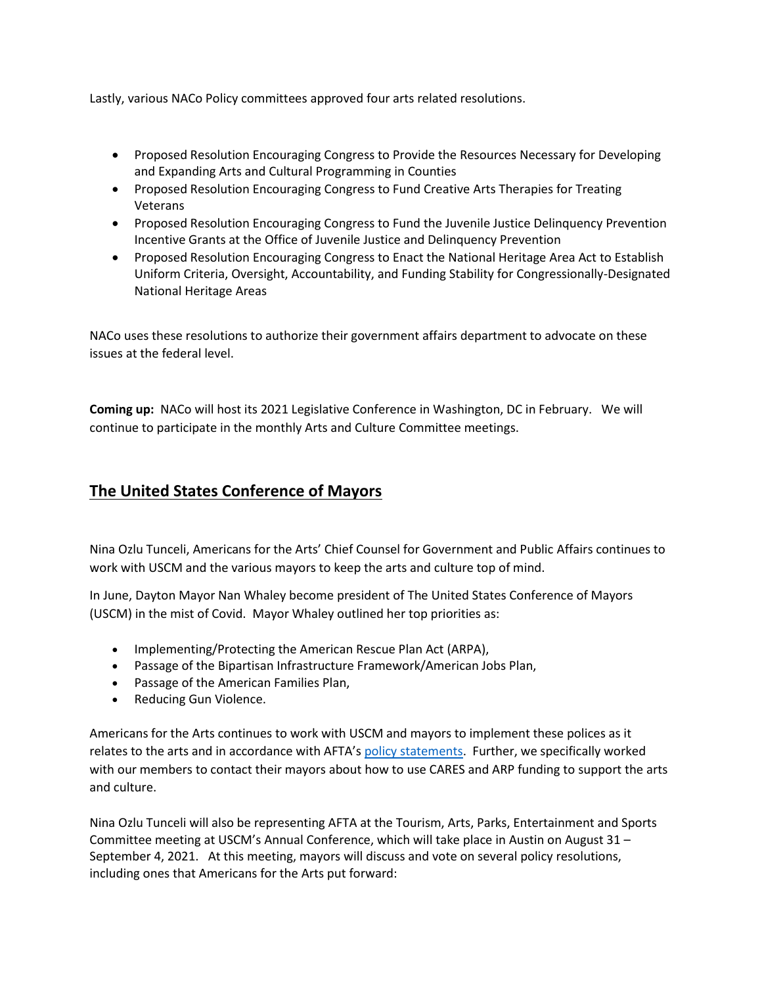Lastly, various NACo Policy committees approved four arts related resolutions.

- Proposed Resolution Encouraging Congress to Provide the Resources Necessary for Developing and Expanding Arts and Cultural Programming in Counties
- Proposed Resolution Encouraging Congress to Fund Creative Arts Therapies for Treating Veterans
- Proposed Resolution Encouraging Congress to Fund the Juvenile Justice Delinquency Prevention Incentive Grants at the Office of Juvenile Justice and Delinquency Prevention
- Proposed Resolution Encouraging Congress to Enact the National Heritage Area Act to Establish Uniform Criteria, Oversight, Accountability, and Funding Stability for Congressionally-Designated National Heritage Areas

NACo uses these resolutions to authorize their government affairs department to advocate on these issues at the federal level.

**Coming up:** NACo will host its 2021 Legislative Conference in Washington, DC in February. We will continue to participate in the monthly Arts and Culture Committee meetings.

## **The United States Conference of Mayors**

Nina Ozlu Tunceli, Americans for the Arts' Chief Counsel for Government and Public Affairs continues to work with USCM and the various mayors to keep the arts and culture top of mind.

In June, Dayton Mayor Nan Whaley become president of The United States Conference of Mayors (USCM) in the mist of Covid. Mayor Whaley outlined her top priorities as:

- Implementing/Protecting the American Rescue Plan Act (ARPA),
- Passage of the Bipartisan Infrastructure Framework/American Jobs Plan,
- Passage of the American Families Plan,
- Reducing Gun Violence.

Americans for the Arts continues to work with USCM and mayors to implement these polices as it relates to the arts and in accordance with AFTA's [policy statements.](https://www.americansforthearts.org/news-room/arts-mobilization-center) Further, we specifically worked with our members to contact their mayors about how to use CARES and ARP funding to support the arts and culture.

Nina Ozlu Tunceli will also be representing AFTA at the Tourism, Arts, Parks, Entertainment and Sports Committee meeting at USCM's Annual Conference, which will take place in Austin on August 31 – September 4, 2021. At this meeting, mayors will discuss and vote on several policy resolutions, including ones that Americans for the Arts put forward: